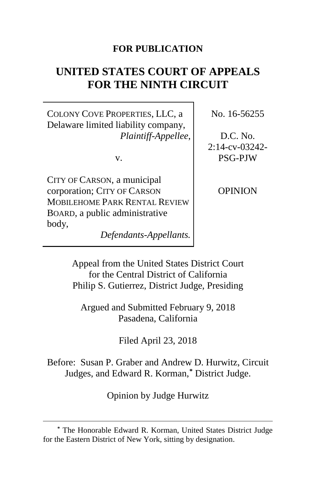# **FOR PUBLICATION**

# **UNITED STATES COURT OF APPEALS FOR THE NINTH CIRCUIT**

COLONY COVE PROPERTIES, LLC, a Delaware limited liability company, *Plaintiff-Appellee*,

v.

CITY OF CARSON, a municipal corporation; CITY OF CARSON MOBILEHOME PARK RENTAL REVIEW BOARD, a public administrative body,

*Defendants-Appellants.*

No. 16-56255

D.C. No. 2:14-cv-03242- PSG-PJW

OPINION

Appeal from the United States District Court for the Central District of California Philip S. Gutierrez, District Judge, Presiding

Argued and Submitted February 9, 2018 Pasadena, California

Filed April 23, 2018

Before: Susan P. Graber and Andrew D. Hurwitz, Circuit Judges, and Edward R. Korman,**[\\*](#page-0-0)** District Judge.

Opinion by Judge Hurwitz

<span id="page-0-0"></span>**<sup>\*</sup>** The Honorable Edward R. Korman, United States District Judge for the Eastern District of New York, sitting by designation.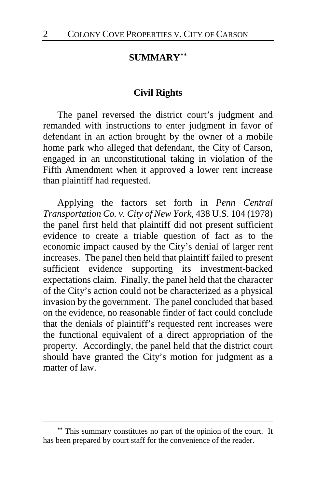# **SUMMARY[\\*\\*](#page-1-0)**

### **Civil Rights**

The panel reversed the district court's judgment and remanded with instructions to enter judgment in favor of defendant in an action brought by the owner of a mobile home park who alleged that defendant, the City of Carson, engaged in an unconstitutional taking in violation of the Fifth Amendment when it approved a lower rent increase than plaintiff had requested.

Applying the factors set forth in *Penn Central Transportation Co. v. City of New York*, 438 U.S. 104 (1978) the panel first held that plaintiff did not present sufficient evidence to create a triable question of fact as to the economic impact caused by the City's denial of larger rent increases. The panel then held that plaintiff failed to present sufficient evidence supporting its investment-backed expectations claim. Finally, the panel held that the character of the City's action could not be characterized as a physical invasion by the government. The panel concluded that based on the evidence, no reasonable finder of fact could conclude that the denials of plaintiff's requested rent increases were the functional equivalent of a direct appropriation of the property. Accordingly, the panel held that the district court should have granted the City's motion for judgment as a matter of law.

<span id="page-1-0"></span>**<sup>\*\*</sup>** This summary constitutes no part of the opinion of the court. It has been prepared by court staff for the convenience of the reader.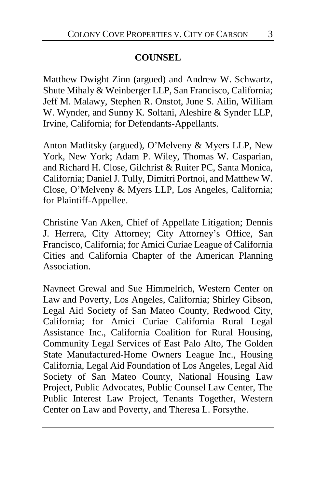# **COUNSEL**

Matthew Dwight Zinn (argued) and Andrew W. Schwartz, Shute Mihaly & Weinberger LLP, San Francisco, California; Jeff M. Malawy, Stephen R. Onstot, June S. Ailin, William W. Wynder, and Sunny K. Soltani, Aleshire & Synder LLP, Irvine, California; for Defendants-Appellants.

Anton Matlitsky (argued), O'Melveny & Myers LLP, New York, New York; Adam P. Wiley, Thomas W. Casparian, and Richard H. Close, Gilchrist & Ruiter PC, Santa Monica, California; Daniel J. Tully, Dimitri Portnoi, and Matthew W. Close, O'Melveny & Myers LLP, Los Angeles, California; for Plaintiff-Appellee.

Christine Van Aken, Chief of Appellate Litigation; Dennis J. Herrera, City Attorney; City Attorney's Office, San Francisco, California; for Amici Curiae League of California Cities and California Chapter of the American Planning Association.

Navneet Grewal and Sue Himmelrich, Western Center on Law and Poverty, Los Angeles, California; Shirley Gibson, Legal Aid Society of San Mateo County, Redwood City, California; for Amici Curiae California Rural Legal Assistance Inc., California Coalition for Rural Housing, Community Legal Services of East Palo Alto, The Golden State Manufactured-Home Owners League Inc., Housing California, Legal Aid Foundation of Los Angeles, Legal Aid Society of San Mateo County, National Housing Law Project, Public Advocates, Public Counsel Law Center, The Public Interest Law Project, Tenants Together, Western Center on Law and Poverty, and Theresa L. Forsythe.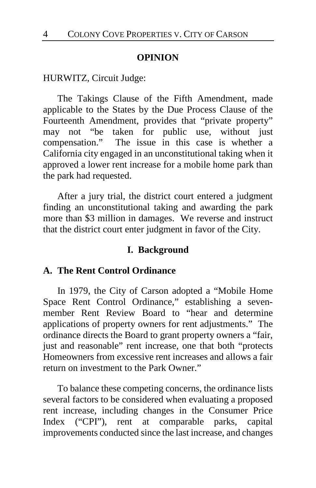#### **OPINION**

#### HURWITZ, Circuit Judge:

The Takings Clause of the Fifth Amendment, made applicable to the States by the Due Process Clause of the Fourteenth Amendment, provides that "private property" may not "be taken for public use, without just compensation." The issue in this case is whether a California city engaged in an unconstitutional taking when it approved a lower rent increase for a mobile home park than the park had requested.

After a jury trial, the district court entered a judgment finding an unconstitutional taking and awarding the park more than \$3 million in damages. We reverse and instruct that the district court enter judgment in favor of the City.

#### **I. Background**

## **A. The Rent Control Ordinance**

In 1979, the City of Carson adopted a "Mobile Home Space Rent Control Ordinance," establishing a sevenmember Rent Review Board to "hear and determine applications of property owners for rent adjustments." The ordinance directs the Board to grant property owners a "fair, just and reasonable" rent increase, one that both "protects Homeowners from excessive rent increases and allows a fair return on investment to the Park Owner"

To balance these competing concerns, the ordinance lists several factors to be considered when evaluating a proposed rent increase, including changes in the Consumer Price Index ("CPI"), rent at comparable parks, capital improvements conducted since the last increase, and changes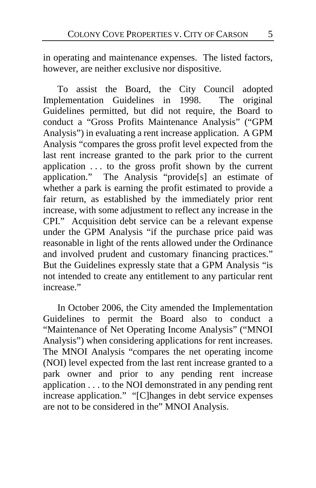in operating and maintenance expenses. The listed factors, however, are neither exclusive nor dispositive.

To assist the Board, the City Council adopted Implementation Guidelines in 1998. The original Guidelines permitted, but did not require, the Board to conduct a "Gross Profits Maintenance Analysis" ("GPM Analysis") in evaluating a rent increase application. A GPM Analysis "compares the gross profit level expected from the last rent increase granted to the park prior to the current application . . . to the gross profit shown by the current application." The Analysis "provide[s] an estimate of whether a park is earning the profit estimated to provide a fair return, as established by the immediately prior rent increase, with some adjustment to reflect any increase in the CPI." Acquisition debt service can be a relevant expense under the GPM Analysis "if the purchase price paid was reasonable in light of the rents allowed under the Ordinance and involved prudent and customary financing practices." But the Guidelines expressly state that a GPM Analysis "is not intended to create any entitlement to any particular rent increase."

In October 2006, the City amended the Implementation Guidelines to permit the Board also to conduct a "Maintenance of Net Operating Income Analysis" ("MNOI Analysis") when considering applications for rent increases. The MNOI Analysis "compares the net operating income (NOI) level expected from the last rent increase granted to a park owner and prior to any pending rent increase application . . . to the NOI demonstrated in any pending rent increase application." "[C]hanges in debt service expenses are not to be considered in the" MNOI Analysis.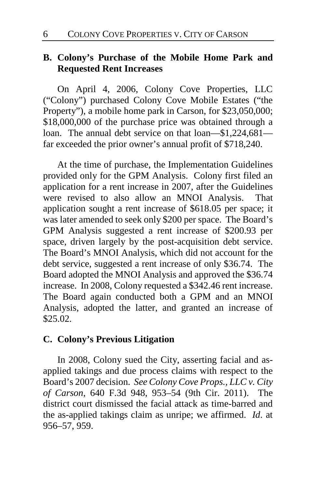# **B. Colony's Purchase of the Mobile Home Park and Requested Rent Increases**

On April 4, 2006, Colony Cove Properties, LLC ("Colony") purchased Colony Cove Mobile Estates ("the Property"), a mobile home park in Carson, for \$23,050,000; \$18,000,000 of the purchase price was obtained through a loan. The annual debt service on that loan—\$1,224,681 far exceeded the prior owner's annual profit of \$718,240.

At the time of purchase, the Implementation Guidelines provided only for the GPM Analysis. Colony first filed an application for a rent increase in 2007, after the Guidelines were revised to also allow an MNOI Analysis. That application sought a rent increase of \$618.05 per space; it was later amended to seek only \$200 per space. The Board's GPM Analysis suggested a rent increase of \$200.93 per space, driven largely by the post-acquisition debt service. The Board's MNOI Analysis, which did not account for the debt service, suggested a rent increase of only \$36.74. The Board adopted the MNOI Analysis and approved the \$36.74 increase. In 2008, Colony requested a \$342.46 rent increase. The Board again conducted both a GPM and an MNOI Analysis, adopted the latter, and granted an increase of \$25.02.

## **C. Colony's Previous Litigation**

In 2008, Colony sued the City, asserting facial and asapplied takings and due process claims with respect to the Board's 2007 decision. *See Colony Cove Props., LLC v. City of Carson*, 640 F.3d 948, 953–54 (9th Cir. 2011). The district court dismissed the facial attack as time-barred and the as-applied takings claim as unripe; we affirmed. *Id*. at 956–57, 959.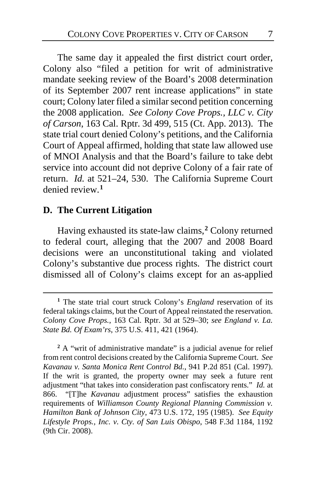The same day it appealed the first district court order, Colony also "filed a petition for writ of administrative mandate seeking review of the Board's 2008 determination of its September 2007 rent increase applications" in state court; Colony later filed a similar second petition concerning the 2008 application. *See Colony Cove Props., LLC v. City of Carson*, 163 Cal. Rptr. 3d 499, 515 (Ct. App. 2013). The state trial court denied Colony's petitions, and the California Court of Appeal affirmed, holding that state law allowed use of MNOI Analysis and that the Board's failure to take debt service into account did not deprive Colony of a fair rate of return. *Id.* at 521–24, 530. The California Supreme Court denied review.**[1](#page-6-0)**

# **D. The Current Litigation**

 $\overline{a}$ 

Having exhausted its state-law claims,**[2](#page-6-1)** Colony returned to federal court, alleging that the 2007 and 2008 Board decisions were an unconstitutional taking and violated Colony's substantive due process rights. The district court dismissed all of Colony's claims except for an as-applied

<span id="page-6-0"></span>**<sup>1</sup>** The state trial court struck Colony's *England* reservation of its federal takings claims, but the Court of Appeal reinstated the reservation. *Colony Cove Props.*, 163 Cal. Rptr. 3d at 529–30; *see England v. La. State Bd. Of Exam'rs*, 375 U.S. 411, 421 (1964).

<span id="page-6-1"></span><sup>&</sup>lt;sup>2</sup> A "writ of administrative mandate" is a judicial avenue for relief from rent control decisions created by the California Supreme Court. *See Kavanau v. Santa Monica Rent Control Bd.*, 941 P.2d 851 (Cal. 1997). If the writ is granted, the property owner may seek a future rent adjustment "that takes into consideration past confiscatory rents." *Id.* at 866. "[T]he *Kavanau* adjustment process" satisfies the exhaustion requirements of *Williamson County Regional Planning Commission v. Hamilton Bank of Johnson City*, 473 U.S. 172, 195 (1985). *See Equity Lifestyle Props., Inc. v. Cty. of San Luis Obispo*, 548 F.3d 1184, 1192 (9th Cir. 2008).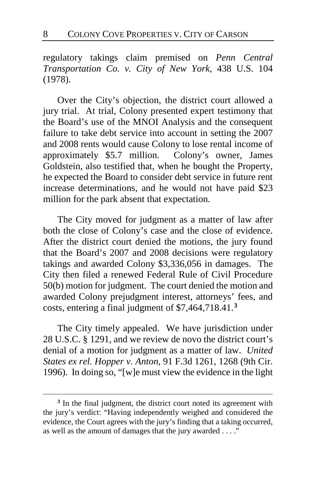regulatory takings claim premised on *Penn Central Transportation Co. v. City of New York*, 438 U.S. 104 (1978).

Over the City's objection, the district court allowed a jury trial. At trial, Colony presented expert testimony that the Board's use of the MNOI Analysis and the consequent failure to take debt service into account in setting the 2007 and 2008 rents would cause Colony to lose rental income of approximately \$5.7 million. Colony's owner, James Goldstein, also testified that, when he bought the Property, he expected the Board to consider debt service in future rent increase determinations, and he would not have paid \$23 million for the park absent that expectation.

The City moved for judgment as a matter of law after both the close of Colony's case and the close of evidence. After the district court denied the motions, the jury found that the Board's 2007 and 2008 decisions were regulatory takings and awarded Colony \$3,336,056 in damages. The City then filed a renewed Federal Rule of Civil Procedure 50(b) motion for judgment. The court denied the motion and awarded Colony prejudgment interest, attorneys' fees, and costs, entering a final judgment of \$7,464,718.41.**[3](#page-7-0)**

The City timely appealed. We have jurisdiction under 28 U.S.C. § 1291, and we review de novo the district court's denial of a motion for judgment as a matter of law. *United States ex rel. Hopper v. Anton*, 91 F.3d 1261, 1268 (9th Cir. 1996). In doing so, "[w]e must view the evidence in the light

<span id="page-7-0"></span>**<sup>3</sup>** In the final judgment, the district court noted its agreement with the jury's verdict: "Having independently weighed and considered the evidence, the Court agrees with the jury's finding that a taking occurred, as well as the amount of damages that the jury awarded . . . ."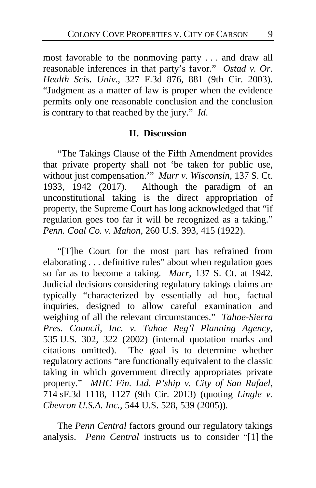most favorable to the nonmoving party . . . and draw all reasonable inferences in that party's favor." *Ostad v. Or. Health Scis. Univ.*, 327 F.3d 876, 881 (9th Cir. 2003). "Judgment as a matter of law is proper when the evidence permits only one reasonable conclusion and the conclusion is contrary to that reached by the jury." *Id*.

# **II. Discussion**

"The Takings Clause of the Fifth Amendment provides that private property shall not 'be taken for public use, without just compensation.'" *Murr v. Wisconsin*, 137 S. Ct. 1933, 1942 (2017). Although the paradigm of an unconstitutional taking is the direct appropriation of property, the Supreme Court has long acknowledged that "if regulation goes too far it will be recognized as a taking." *Penn. Coal Co. v. Mahon*, 260 U.S. 393, 415 (1922).

"[T]he Court for the most part has refrained from elaborating . . . definitive rules" about when regulation goes so far as to become a taking. *Murr*, 137 S. Ct. at 1942. Judicial decisions considering regulatory takings claims are typically "characterized by essentially ad hoc, factual inquiries, designed to allow careful examination and weighing of all the relevant circumstances." *Tahoe-Sierra Pres. Council, Inc. v. Tahoe Reg'l Planning Agency*, 535 U.S. 302, 322 (2002) (internal quotation marks and citations omitted). The goal is to determine whether regulatory actions "are functionally equivalent to the classic taking in which government directly appropriates private property." *MHC Fin. Ltd. P'ship v. City of San Rafael*, 714 sF.3d 1118, 1127 (9th Cir. 2013) (quoting *Lingle v. Chevron U.S.A. Inc.*, 544 U.S. 528, 539 (2005)).

The *Penn Central* factors ground our regulatory takings analysis. *Penn Central* instructs us to consider "[1] the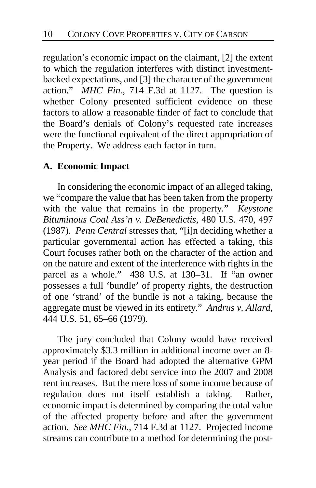regulation's economic impact on the claimant, [2] the extent to which the regulation interferes with distinct investmentbacked expectations, and [3] the character of the government action." *MHC Fin.*, 714 F.3d at 1127. The question is whether Colony presented sufficient evidence on these factors to allow a reasonable finder of fact to conclude that the Board's denials of Colony's requested rate increases were the functional equivalent of the direct appropriation of the Property. We address each factor in turn.

# **A. Economic Impact**

In considering the economic impact of an alleged taking, we "compare the value that has been taken from the property with the value that remains in the property." *Keystone Bituminous Coal Ass'n v. DeBenedictis*, 480 U.S. 470, 497 (1987). *Penn Central* stresses that, "[i]n deciding whether a particular governmental action has effected a taking, this Court focuses rather both on the character of the action and on the nature and extent of the interference with rights in the parcel as a whole." 438 U.S. at 130–31. If "an owner possesses a full 'bundle' of property rights, the destruction of one 'strand' of the bundle is not a taking, because the aggregate must be viewed in its entirety." *Andrus v. Allard*, 444 U.S. 51, 65–66 (1979).

The jury concluded that Colony would have received approximately \$3.3 million in additional income over an 8 year period if the Board had adopted the alternative GPM Analysis and factored debt service into the 2007 and 2008 rent increases. But the mere loss of some income because of regulation does not itself establish a taking. Rather, economic impact is determined by comparing the total value of the affected property before and after the government action. *See MHC Fin.*, 714 F.3d at 1127. Projected income streams can contribute to a method for determining the post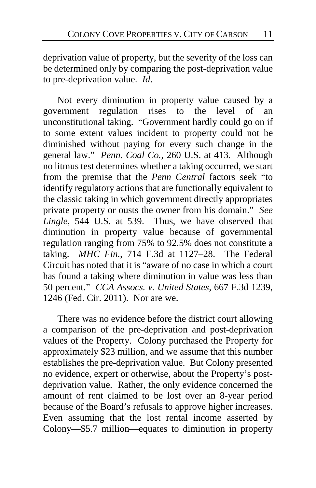deprivation value of property, but the severity of the loss can be determined only by comparing the post-deprivation value to pre-deprivation value. *Id*.

Not every diminution in property value caused by a government regulation rises to the level of an unconstitutional taking. "Government hardly could go on if to some extent values incident to property could not be diminished without paying for every such change in the general law." *Penn. Coal Co.*, 260 U.S. at 413. Although no litmus test determines whether a taking occurred, we start from the premise that the *Penn Central* factors seek "to identify regulatory actions that are functionally equivalent to the classic taking in which government directly appropriates private property or ousts the owner from his domain." *See Lingle*, 544 U.S. at 539. Thus, we have observed that diminution in property value because of governmental regulation ranging from 75% to 92.5% does not constitute a taking. *MHC Fin.*, 714 F.3d at 1127–28. The Federal Circuit has noted that it is "aware of no case in which a court has found a taking where diminution in value was less than 50 percent." *CCA Assocs. v. United States*, 667 F.3d 1239, 1246 (Fed. Cir. 2011). Nor are we.

There was no evidence before the district court allowing a comparison of the pre-deprivation and post-deprivation values of the Property. Colony purchased the Property for approximately \$23 million, and we assume that this number establishes the pre-deprivation value. But Colony presented no evidence, expert or otherwise, about the Property's postdeprivation value. Rather, the only evidence concerned the amount of rent claimed to be lost over an 8-year period because of the Board's refusals to approve higher increases. Even assuming that the lost rental income asserted by Colony—\$5.7 million—equates to diminution in property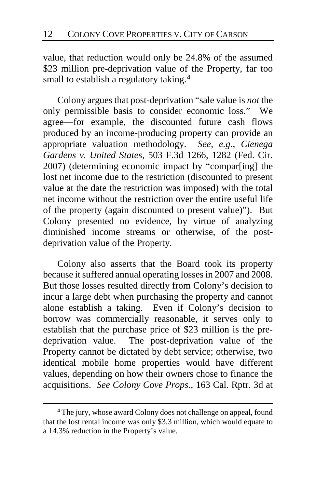value, that reduction would only be 24.8% of the assumed \$23 million pre-deprivation value of the Property, far too small to establish a regulatory taking.**[4](#page-11-0)**

Colony argues that post-deprivation "sale value is *not* the only permissible basis to consider economic loss." We agree—for example, the discounted future cash flows produced by an income-producing property can provide an appropriate valuation methodology. *See, e.g*., *Cienega Gardens v. United States*, 503 F.3d 1266, 1282 (Fed. Cir. 2007) (determining economic impact by "compar[ing] the lost net income due to the restriction (discounted to present value at the date the restriction was imposed) with the total net income without the restriction over the entire useful life of the property (again discounted to present value)"). But Colony presented no evidence, by virtue of analyzing diminished income streams or otherwise, of the postdeprivation value of the Property.

Colony also asserts that the Board took its property because it suffered annual operating losses in 2007 and 2008. But those losses resulted directly from Colony's decision to incur a large debt when purchasing the property and cannot alone establish a taking. Even if Colony's decision to borrow was commercially reasonable, it serves only to establish that the purchase price of \$23 million is the predeprivation value. The post-deprivation value of the Property cannot be dictated by debt service; otherwise, two identical mobile home properties would have different values, depending on how their owners chose to finance the acquisitions. *See Colony Cove Props.*, 163 Cal. Rptr. 3d at

<span id="page-11-0"></span>**<sup>4</sup>** The jury, whose award Colony does not challenge on appeal, found that the lost rental income was only \$3.3 million, which would equate to a 14.3% reduction in the Property's value.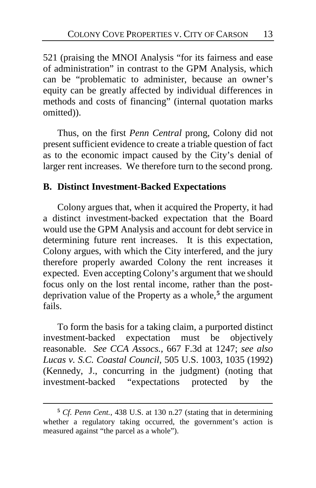521 (praising the MNOI Analysis "for its fairness and ease of administration" in contrast to the GPM Analysis, which can be "problematic to administer, because an owner's equity can be greatly affected by individual differences in methods and costs of financing" (internal quotation marks omitted)).

Thus, on the first *Penn Central* prong, Colony did not present sufficient evidence to create a triable question of fact as to the economic impact caused by the City's denial of larger rent increases. We therefore turn to the second prong.

# **B. Distinct Investment-Backed Expectations**

Colony argues that, when it acquired the Property, it had a distinct investment-backed expectation that the Board would use the GPM Analysis and account for debt service in determining future rent increases. It is this expectation, Colony argues, with which the City interfered, and the jury therefore properly awarded Colony the rent increases it expected. Even accepting Colony's argument that we should focus only on the lost rental income, rather than the postdeprivation value of the Property as a whole,**[5](#page-12-0)** the argument fails.

To form the basis for a taking claim, a purported distinct investment-backed expectation must be objectively reasonable. *See CCA Assocs.*, 667 F.3d at 1247; *see also Lucas v. S.C. Coastal Council*, 505 U.S. 1003, 1035 (1992) (Kennedy, J., concurring in the judgment) (noting that investment-backed "expectations protected by the

<span id="page-12-0"></span>**<sup>5</sup>** *Cf. Penn Cent.*, 438 U.S. at 130 n.27 (stating that in determining whether a regulatory taking occurred, the government's action is measured against "the parcel as a whole").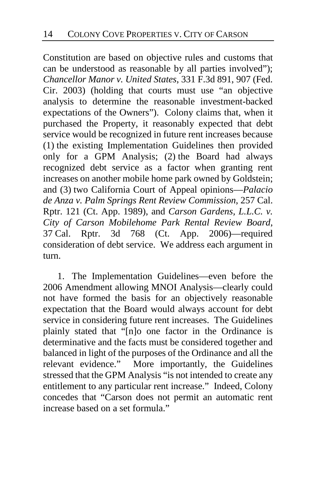Constitution are based on objective rules and customs that can be understood as reasonable by all parties involved"); *Chancellor Manor v. United States*, 331 F.3d 891, 907 (Fed. Cir. 2003) (holding that courts must use "an objective analysis to determine the reasonable investment-backed expectations of the Owners"). Colony claims that, when it purchased the Property, it reasonably expected that debt service would be recognized in future rent increases because (1) the existing Implementation Guidelines then provided only for a GPM Analysis; (2) the Board had always recognized debt service as a factor when granting rent increases on another mobile home park owned by Goldstein; and (3) two California Court of Appeal opinions—*Palacio de Anza v. Palm Springs Rent Review Commission*, 257 Cal. Rptr. 121 (Ct. App. 1989), and *Carson Gardens, L.L.C. v. City of Carson Mobilehome Park Rental Review Board*, 37 Cal. Rptr. 3d 768 (Ct. App. 2006)—required consideration of debt service. We address each argument in turn.

1. The Implementation Guidelines—even before the 2006 Amendment allowing MNOI Analysis—clearly could not have formed the basis for an objectively reasonable expectation that the Board would always account for debt service in considering future rent increases. The Guidelines plainly stated that "[n]o one factor in the Ordinance is determinative and the facts must be considered together and balanced in light of the purposes of the Ordinance and all the relevant evidence." More importantly, the Guidelines stressed that the GPM Analysis "is not intended to create any entitlement to any particular rent increase." Indeed, Colony concedes that "Carson does not permit an automatic rent increase based on a set formula."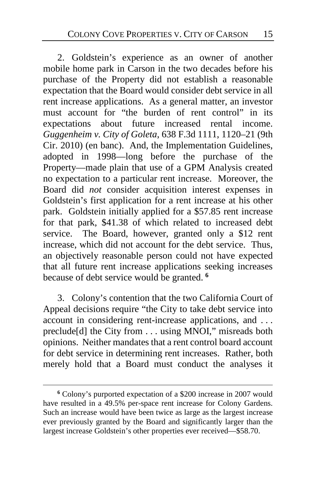2. Goldstein's experience as an owner of another mobile home park in Carson in the two decades before his purchase of the Property did not establish a reasonable expectation that the Board would consider debt service in all rent increase applications. As a general matter, an investor must account for "the burden of rent control" in its expectations about future increased rental income. *Guggenheim v. City of Goleta*, 638 F.3d 1111, 1120–21 (9th Cir. 2010) (en banc). And, the Implementation Guidelines, adopted in 1998—long before the purchase of the Property—made plain that use of a GPM Analysis created no expectation to a particular rent increase. Moreover, the Board did *not* consider acquisition interest expenses in Goldstein's first application for a rent increase at his other park. Goldstein initially applied for a \$57.85 rent increase for that park, \$41.38 of which related to increased debt service. The Board, however, granted only a \$12 rent increase, which did not account for the debt service. Thus, an objectively reasonable person could not have expected that all future rent increase applications seeking increases because of debt service would be granted. **[6](#page-14-0)**

3. Colony's contention that the two California Court of Appeal decisions require "the City to take debt service into account in considering rent-increase applications, and . . . preclude[d] the City from . . . using MNOI," misreads both opinions. Neither mandates that a rent control board account for debt service in determining rent increases. Rather, both merely hold that a Board must conduct the analyses it

<span id="page-14-0"></span>**<sup>6</sup>** Colony's purported expectation of a \$200 increase in 2007 would have resulted in a 49.5% per-space rent increase for Colony Gardens. Such an increase would have been twice as large as the largest increase ever previously granted by the Board and significantly larger than the largest increase Goldstein's other properties ever received—\$58.70.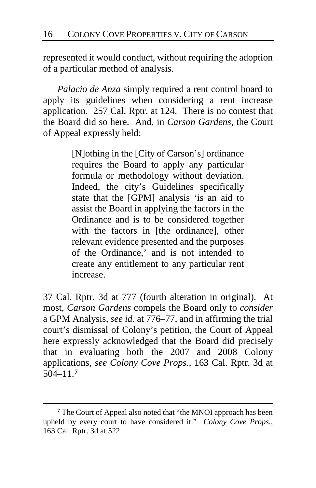represented it would conduct, without requiring the adoption of a particular method of analysis.

*Palacio de Anza* simply required a rent control board to apply its guidelines when considering a rent increase application. 257 Cal. Rptr. at 124. There is no contest that the Board did so here. And, in *Carson Gardens*, the Court of Appeal expressly held:

> [N]othing in the [City of Carson's] ordinance requires the Board to apply any particular formula or methodology without deviation. Indeed, the city's Guidelines specifically state that the [GPM] analysis 'is an aid to assist the Board in applying the factors in the Ordinance and is to be considered together with the factors in [the ordinance], other relevant evidence presented and the purposes of the Ordinance,' and is not intended to create any entitlement to any particular rent increase.

37 Cal. Rptr. 3d at 777 (fourth alteration in original). At most, *Carson Gardens* compels the Board only to *consider* a GPM Analysis, *see id.* at 776–77, and in affirming the trial court's dismissal of Colony's petition, the Court of Appeal here expressly acknowledged that the Board did precisely that in evaluating both the 2007 and 2008 Colony applications, *see Colony Cove Props.*, 163 Cal. Rptr. 3d at 504–11.**[7](#page-15-0)**

<span id="page-15-0"></span>**<sup>7</sup>** The Court of Appeal also noted that "the MNOI approach has been upheld by every court to have considered it." *Colony Cove Props.*, 163 Cal. Rptr. 3d at 522.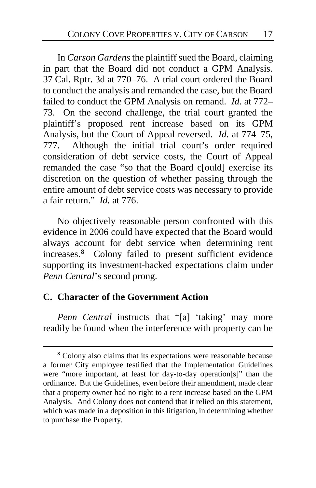In *Carson Gardens* the plaintiff sued the Board, claiming in part that the Board did not conduct a GPM Analysis. 37 Cal. Rptr. 3d at 770–76. A trial court ordered the Board to conduct the analysis and remanded the case, but the Board failed to conduct the GPM Analysis on remand. *Id.* at 772– 73. On the second challenge, the trial court granted the plaintiff's proposed rent increase based on its GPM Analysis, but the Court of Appeal reversed. *Id.* at 774–75, 777. Although the initial trial court's order required consideration of debt service costs, the Court of Appeal remanded the case "so that the Board c[ould] exercise its discretion on the question of whether passing through the entire amount of debt service costs was necessary to provide a fair return." *Id.* at 776.

No objectively reasonable person confronted with this evidence in 2006 could have expected that the Board would always account for debt service when determining rent increases.**[8](#page-16-0)** Colony failed to present sufficient evidence supporting its investment-backed expectations claim under *Penn Central*'s second prong.

# **C. Character of the Government Action**

 $\overline{a}$ 

*Penn Central* instructs that "[a] 'taking' may more readily be found when the interference with property can be

<span id="page-16-0"></span>**<sup>8</sup>** Colony also claims that its expectations were reasonable because a former City employee testified that the Implementation Guidelines were "more important, at least for day-to-day operation[s]" than the ordinance. But the Guidelines, even before their amendment, made clear that a property owner had no right to a rent increase based on the GPM Analysis. And Colony does not contend that it relied on this statement, which was made in a deposition in this litigation, in determining whether to purchase the Property.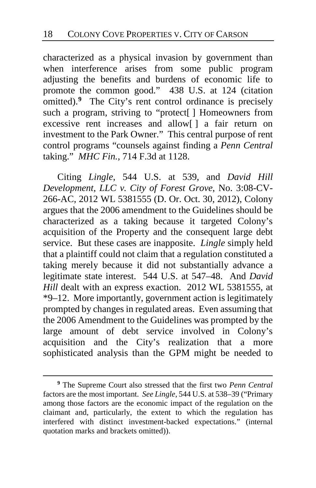characterized as a physical invasion by government than when interference arises from some public program adjusting the benefits and burdens of economic life to promote the common good." 438 U.S. at 124 (citation omitted).**[9](#page-17-0)** The City's rent control ordinance is precisely such a program, striving to "protect[] Homeowners from excessive rent increases and allow[ ] a fair return on investment to the Park Owner." This central purpose of rent control programs "counsels against finding a *Penn Central* taking." *MHC Fin.*, 714 F.3d at 1128.

Citing *Lingle*, 544 U.S. at 539, and *David Hill Development, LLC v. City of Forest Grove*, No. 3:08-CV-266-AC, 2012 WL 5381555 (D. Or. Oct. 30, 2012), Colony argues that the 2006 amendment to the Guidelines should be characterized as a taking because it targeted Colony's acquisition of the Property and the consequent large debt service. But these cases are inapposite. *Lingle* simply held that a plaintiff could not claim that a regulation constituted a taking merely because it did not substantially advance a legitimate state interest. 544 U.S. at 547–48. And *David Hill* dealt with an express exaction. 2012 WL 5381555, at \*9–12. More importantly, government action is legitimately prompted by changes in regulated areas. Even assuming that the 2006 Amendment to the Guidelines was prompted by the large amount of debt service involved in Colony's acquisition and the City's realization that a more sophisticated analysis than the GPM might be needed to

<span id="page-17-0"></span>**<sup>9</sup>** The Supreme Court also stressed that the first two *Penn Central* factors are the most important. *See Lingle*, 544 U.S. at 538–39 ("Primary among those factors are the economic impact of the regulation on the claimant and, particularly, the extent to which the regulation has interfered with distinct investment-backed expectations." (internal quotation marks and brackets omitted)).